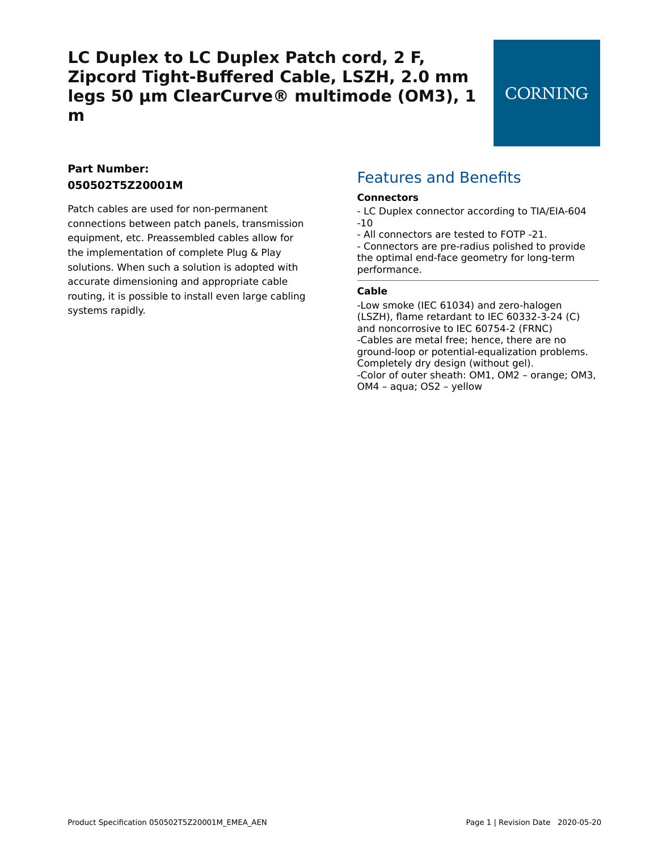## **CORNING**

## **Part Number: 050502T5Z20001M**

Patch cables are used for non-permanent connections between patch panels, transmission equipment, etc. Preassembled cables allow for the implementation of complete Plug & Play solutions. When such a solution is adopted with accurate dimensioning and appropriate cable routing, it is possible to install even large cabling systems rapidly.

## Features and Benefits

#### **Connectors**

- LC Duplex connector according to TIA/EIA-604 -10
- All connectors are tested to FOTP -21.

- Connectors are pre-radius polished to provide the optimal end-face geometry for long-term performance.

#### **Cable**

-Low smoke (IEC 61034) and zero-halogen (LSZH), flame retardant to IEC 60332-3-24 (C) and noncorrosive to IEC 60754-2 (FRNC) -Cables are metal free; hence, there are no ground-loop or potential-equalization problems. Completely dry design (without gel). -Color of outer sheath: OM1, OM2 – orange; OM3, OM4 – aqua; OS2 – yellow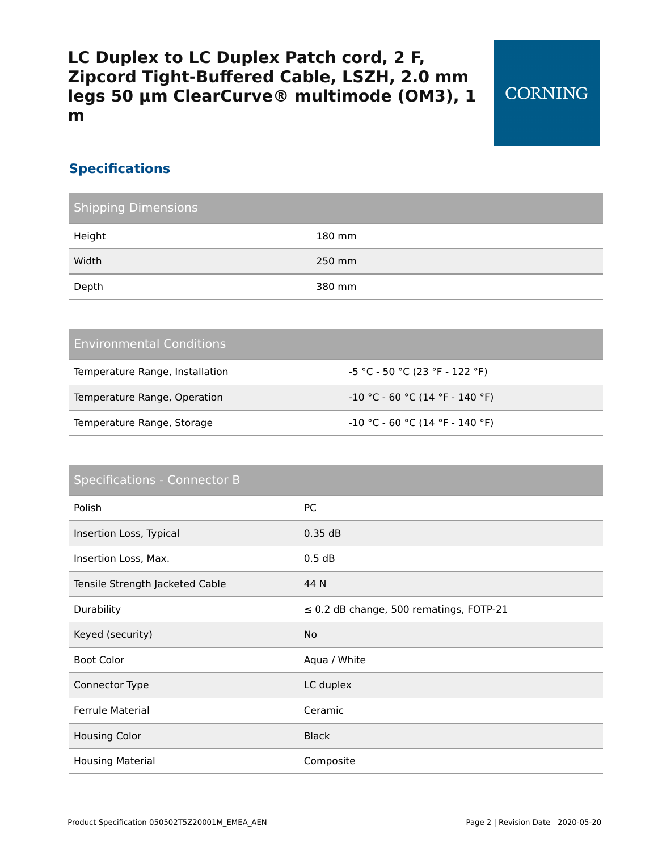## **Specifications**

| <b>Shipping Dimensions</b> |        |  |
|----------------------------|--------|--|
| Height                     | 180 mm |  |
| Width                      | 250 mm |  |
| Depth                      | 380 mm |  |

### Environmental Conditions

| Temperature Range, Installation | -5 °C - 50 °C (23 °F - 122 °F)  |
|---------------------------------|---------------------------------|
| Temperature Range, Operation    | -10 °C - 60 °C (14 °F - 140 °F) |
| Temperature Range, Storage      | -10 °C - 60 °C (14 °F - 140 °F) |

# Specifications - Connector B Polish PC Insertion Loss, Typical 0.35 dB Insertion Loss, Max. 6.5 am and 1.5 am and 1.5 am and 1.5 am and 1.5 am and 1.5 am and 1.5 am and 1.5 am and 1 Tensile Strength Jacketed Cable 44 N Durability ≤ 0.2 dB change, 500 rematings, FOTP-21 Keyed (security) No Boot Color **Aqua / White** Boot Color Connector Type LC duplex Ferrule Material **Ceramic** Housing Color **Black** Housing Material **Composite**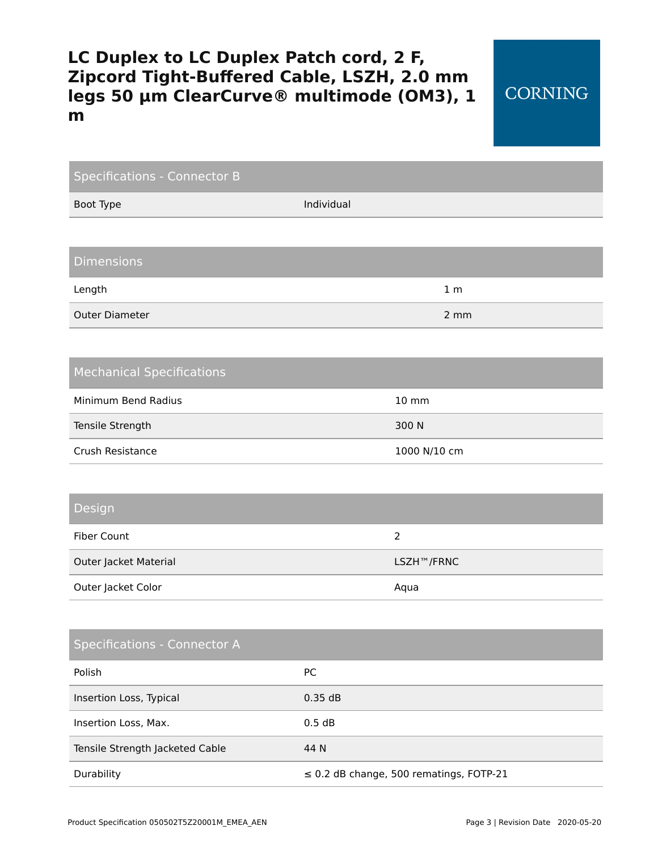**CORNING** 

| <b>Specifications - Connector B</b> |            |                                              |  |  |
|-------------------------------------|------------|----------------------------------------------|--|--|
| Boot Type                           | Individual |                                              |  |  |
|                                     |            |                                              |  |  |
| <b>Dimensions</b>                   |            |                                              |  |  |
| Length                              |            | 1 <sub>m</sub>                               |  |  |
| <b>Outer Diameter</b>               |            | 2 mm                                         |  |  |
|                                     |            |                                              |  |  |
| <b>Mechanical Specifications</b>    |            |                                              |  |  |
| Minimum Bend Radius                 |            | 10 mm                                        |  |  |
| Tensile Strength                    |            | 300 N                                        |  |  |
| Crush Resistance                    |            | 1000 N/10 cm                                 |  |  |
|                                     |            |                                              |  |  |
| Design                              |            |                                              |  |  |
| <b>Fiber Count</b>                  |            | $\overline{2}$                               |  |  |
| Outer Jacket Material               |            | LSZH™/FRNC                                   |  |  |
| Outer Jacket Color                  |            | Aqua                                         |  |  |
|                                     |            |                                              |  |  |
| <b>Specifications - Connector A</b> |            |                                              |  |  |
| Polish                              | PC         |                                              |  |  |
| Insertion Loss, Typical             | 0.35dB     |                                              |  |  |
| Insertion Loss, Max.                | 0.5 dB     |                                              |  |  |
| Tensile Strength Jacketed Cable     | 44 N       |                                              |  |  |
| Durability                          |            | $\leq$ 0.2 dB change, 500 rematings, FOTP-21 |  |  |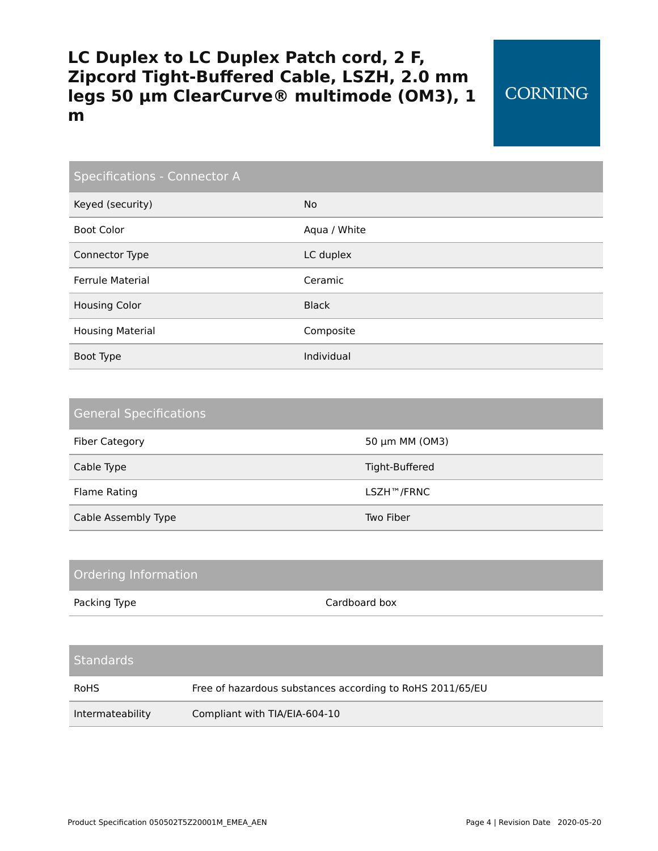## **CORNING**

| Specifications - Connector A |              |  |
|------------------------------|--------------|--|
| Keyed (security)             | <b>No</b>    |  |
| <b>Boot Color</b>            | Aqua / White |  |
| Connector Type               | LC duplex    |  |
| <b>Ferrule Material</b>      | Ceramic      |  |
| <b>Housing Color</b>         | <b>Black</b> |  |
| <b>Housing Material</b>      | Composite    |  |
| Boot Type                    | Individual   |  |

| <b>General Specifications</b> |                |  |  |
|-------------------------------|----------------|--|--|
| <b>Fiber Category</b>         | 50 μm MM (OM3) |  |  |
| Cable Type                    | Tight-Buffered |  |  |
| Flame Rating                  | LSZH™/FRNC     |  |  |
| Cable Assembly Type           | Two Fiber      |  |  |

| <b>Ordering Information</b> |                                                           |  |
|-----------------------------|-----------------------------------------------------------|--|
| Packing Type                | Cardboard box                                             |  |
|                             |                                                           |  |
| <b>Standards</b>            |                                                           |  |
| <b>RoHS</b>                 | Free of hazardous substances according to RoHS 2011/65/EU |  |
| Intermateability            | Compliant with TIA/EIA-604-10                             |  |